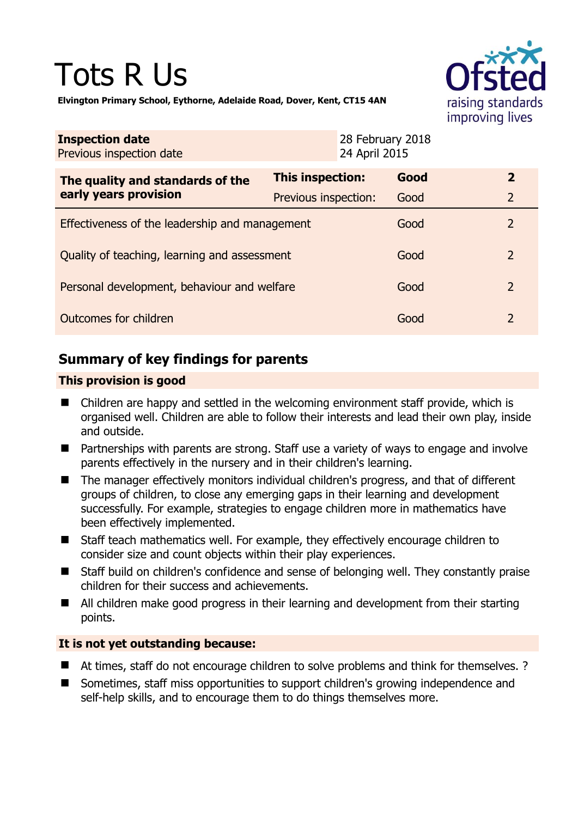# Tots R Us



**Elvington Primary School, Eythorne, Adelaide Road, Dover, Kent, CT15 4AN** 

| <b>Inspection date</b><br>Previous inspection date        |                      | 28 February 2018<br>24 April 2015 |      |                |
|-----------------------------------------------------------|----------------------|-----------------------------------|------|----------------|
| The quality and standards of the<br>early years provision | This inspection:     |                                   | Good | $\mathbf{2}$   |
|                                                           | Previous inspection: |                                   | Good | 2              |
| Effectiveness of the leadership and management            |                      |                                   | Good | 2              |
| Quality of teaching, learning and assessment              |                      |                                   | Good | 2              |
| Personal development, behaviour and welfare               |                      |                                   | Good | $\overline{2}$ |
| Outcomes for children                                     |                      |                                   | Good | $\mathcal{L}$  |

# **Summary of key findings for parents**

## **This provision is good**

- Children are happy and settled in the welcoming environment staff provide, which is organised well. Children are able to follow their interests and lead their own play, inside and outside.
- Partnerships with parents are strong. Staff use a variety of ways to engage and involve parents effectively in the nursery and in their children's learning.
- The manager effectively monitors individual children's progress, and that of different groups of children, to close any emerging gaps in their learning and development successfully. For example, strategies to engage children more in mathematics have been effectively implemented.
- Staff teach mathematics well. For example, they effectively encourage children to consider size and count objects within their play experiences.
- Staff build on children's confidence and sense of belonging well. They constantly praise children for their success and achievements.
- All children make good progress in their learning and development from their starting points.

## **It is not yet outstanding because:**

- At times, staff do not encourage children to solve problems and think for themselves. ?
- Sometimes, staff miss opportunities to support children's growing independence and self-help skills, and to encourage them to do things themselves more.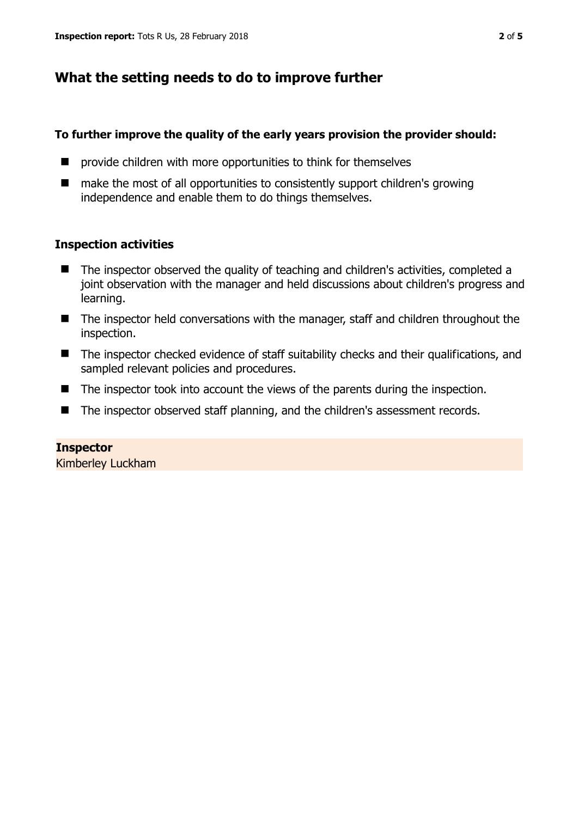# **What the setting needs to do to improve further**

#### **To further improve the quality of the early years provision the provider should:**

- **P** provide children with more opportunities to think for themselves
- make the most of all opportunities to consistently support children's growing independence and enable them to do things themselves.

#### **Inspection activities**

- The inspector observed the quality of teaching and children's activities, completed a joint observation with the manager and held discussions about children's progress and learning.
- The inspector held conversations with the manager, staff and children throughout the inspection.
- The inspector checked evidence of staff suitability checks and their qualifications, and sampled relevant policies and procedures.
- The inspector took into account the views of the parents during the inspection.
- The inspector observed staff planning, and the children's assessment records.

## **Inspector**

Kimberley Luckham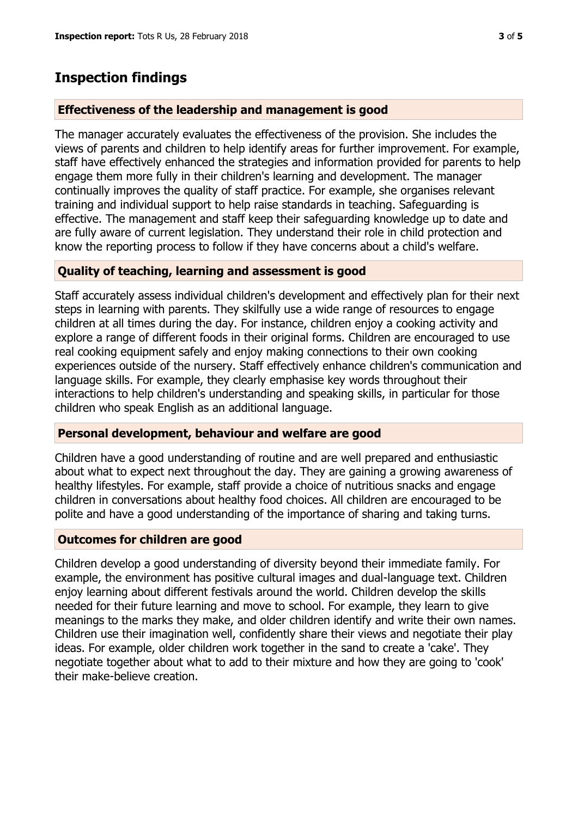## **Inspection findings**

#### **Effectiveness of the leadership and management is good**

The manager accurately evaluates the effectiveness of the provision. She includes the views of parents and children to help identify areas for further improvement. For example, staff have effectively enhanced the strategies and information provided for parents to help engage them more fully in their children's learning and development. The manager continually improves the quality of staff practice. For example, she organises relevant training and individual support to help raise standards in teaching. Safeguarding is effective. The management and staff keep their safeguarding knowledge up to date and are fully aware of current legislation. They understand their role in child protection and know the reporting process to follow if they have concerns about a child's welfare.

#### **Quality of teaching, learning and assessment is good**

Staff accurately assess individual children's development and effectively plan for their next steps in learning with parents. They skilfully use a wide range of resources to engage children at all times during the day. For instance, children enjoy a cooking activity and explore a range of different foods in their original forms. Children are encouraged to use real cooking equipment safely and enjoy making connections to their own cooking experiences outside of the nursery. Staff effectively enhance children's communication and language skills. For example, they clearly emphasise key words throughout their interactions to help children's understanding and speaking skills, in particular for those children who speak English as an additional language.

#### **Personal development, behaviour and welfare are good**

Children have a good understanding of routine and are well prepared and enthusiastic about what to expect next throughout the day. They are gaining a growing awareness of healthy lifestyles. For example, staff provide a choice of nutritious snacks and engage children in conversations about healthy food choices. All children are encouraged to be polite and have a good understanding of the importance of sharing and taking turns.

#### **Outcomes for children are good**

Children develop a good understanding of diversity beyond their immediate family. For example, the environment has positive cultural images and dual-language text. Children enjoy learning about different festivals around the world. Children develop the skills needed for their future learning and move to school. For example, they learn to give meanings to the marks they make, and older children identify and write their own names. Children use their imagination well, confidently share their views and negotiate their play ideas. For example, older children work together in the sand to create a 'cake'. They negotiate together about what to add to their mixture and how they are going to 'cook' their make-believe creation.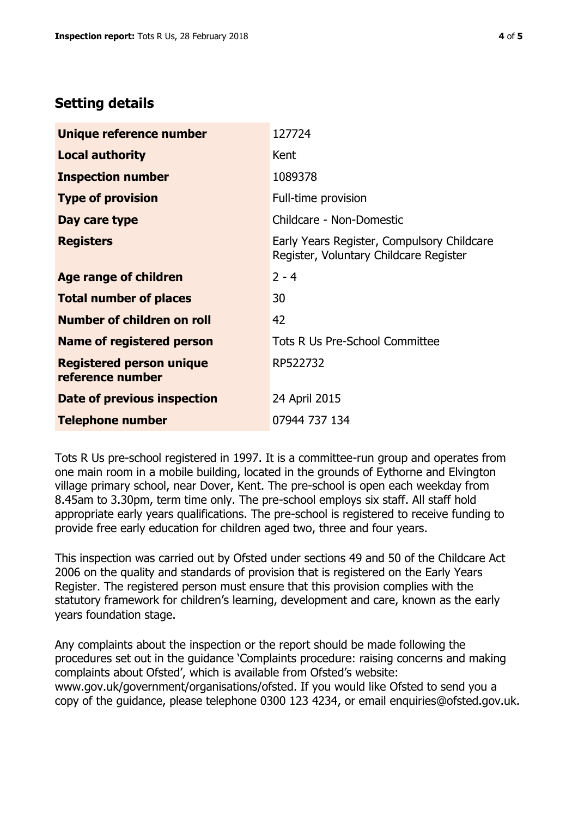## **Setting details**

| Unique reference number                             | 127724                                                                               |  |
|-----------------------------------------------------|--------------------------------------------------------------------------------------|--|
| <b>Local authority</b>                              | Kent                                                                                 |  |
| <b>Inspection number</b>                            | 1089378                                                                              |  |
| <b>Type of provision</b>                            | Full-time provision                                                                  |  |
| Day care type                                       | Childcare - Non-Domestic                                                             |  |
| <b>Registers</b>                                    | Early Years Register, Compulsory Childcare<br>Register, Voluntary Childcare Register |  |
| Age range of children                               | $2 - 4$                                                                              |  |
| <b>Total number of places</b>                       | 30                                                                                   |  |
| Number of children on roll                          | 42                                                                                   |  |
| Name of registered person                           | Tots R Us Pre-School Committee                                                       |  |
| <b>Registered person unique</b><br>reference number | RP522732                                                                             |  |
| <b>Date of previous inspection</b>                  | 24 April 2015                                                                        |  |
| <b>Telephone number</b>                             | 07944 737 134                                                                        |  |

Tots R Us pre-school registered in 1997. It is a committee-run group and operates from one main room in a mobile building, located in the grounds of Eythorne and Elvington village primary school, near Dover, Kent. The pre-school is open each weekday from 8.45am to 3.30pm, term time only. The pre-school employs six staff. All staff hold appropriate early years qualifications. The pre-school is registered to receive funding to provide free early education for children aged two, three and four years.

This inspection was carried out by Ofsted under sections 49 and 50 of the Childcare Act 2006 on the quality and standards of provision that is registered on the Early Years Register. The registered person must ensure that this provision complies with the statutory framework for children's learning, development and care, known as the early years foundation stage.

Any complaints about the inspection or the report should be made following the procedures set out in the guidance 'Complaints procedure: raising concerns and making complaints about Ofsted', which is available from Ofsted's website: www.gov.uk/government/organisations/ofsted. If you would like Ofsted to send you a copy of the guidance, please telephone 0300 123 4234, or email enquiries@ofsted.gov.uk.